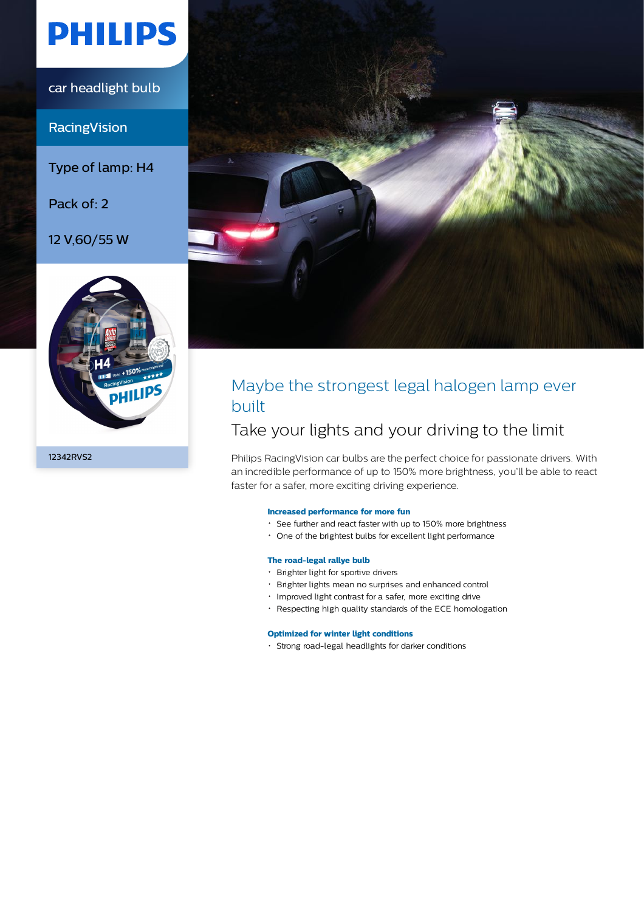# **PHILIPS**

car headlight bulb

**RacingVision** 

Type of lamp: H4

Pack of: 2

12 V,60/55 W





## Maybe the strongest legal halogen lamp ever built

### Take your lights and your driving to the limit

Philips RacingVision car bulbs are the perfect choice for passionate drivers. With an incredible performance of up to 150% more brightness, you'll be able to react faster for a safer, more exciting driving experience.

### **Increased performance for more fun**

- See further and react faster with up to 150% more brightness
- One of the brightest bulbs for excellent light performance

#### **The road-legal rallye bulb**

- Brighter light for sportive drivers
- Brighter lights mean no surprises and enhanced control
- Improved light contrast for a safer, more exciting drive
- Respecting high quality standards of the ECE homologation

#### **Optimized for winter light conditions**

Strong road-legal headlights for darker conditions